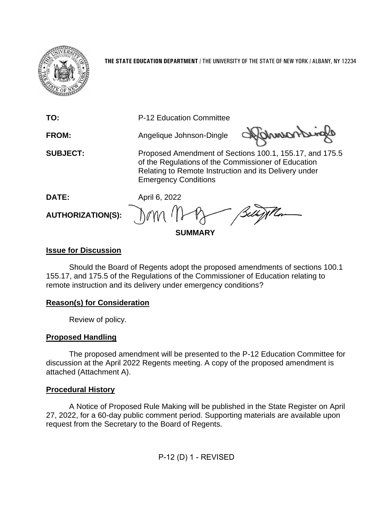

**THE STATE EDUCATION DEPARTMENT** / THE UNIVERSITY OF THE STATE OF NEW YORK / ALBANY, NY 12234



### **Issue for Discussion**

Should the Board of Regents adopt the proposed amendments of sections 100.1 155.17, and 175.5 of the Regulations of the Commissioner of Education relating to remote instruction and its delivery under emergency conditions?

## **Reason(s) for Consideration**

Review of policy.

#### **Proposed Handling**

The proposed amendment will be presented to the P-12 Education Committee for discussion at the April 2022 Regents meeting. A copy of the proposed amendment is attached (Attachment A).

#### **Procedural History**

A Notice of Proposed Rule Making will be published in the State Register on April 27, 2022, for a 60-day public comment period. Supporting materials are available upon request from the Secretary to the Board of Regents.

P-12 (D) 1 - REVISED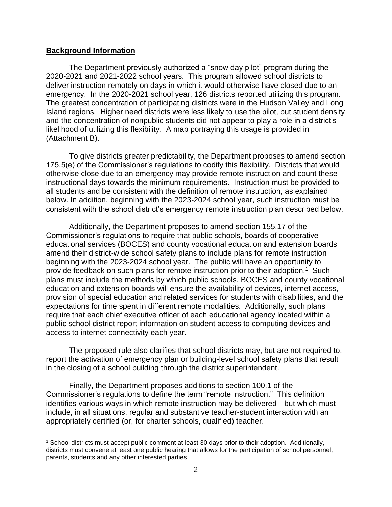#### **Background Information**

The Department previously authorized a "snow day pilot" program during the 2020-2021 and 2021-2022 school years. This program allowed school districts to deliver instruction remotely on days in which it would otherwise have closed due to an emergency. In the 2020-2021 school year, 126 districts reported utilizing this program. The greatest concentration of participating districts were in the Hudson Valley and Long Island regions. Higher need districts were less likely to use the pilot, but student density and the concentration of nonpublic students did not appear to play a role in a district's likelihood of utilizing this flexibility. A map portraying this usage is provided in (Attachment B).

To give districts greater predictability, the Department proposes to amend section 175.5(e) of the Commissioner's regulations to codify this flexibility. Districts that would otherwise close due to an emergency may provide remote instruction and count these instructional days towards the minimum requirements. Instruction must be provided to all students and be consistent with the definition of remote instruction, as explained below. In addition, beginning with the 2023-2024 school year, such instruction must be consistent with the school district's emergency remote instruction plan described below.

Additionally, the Department proposes to amend section 155.17 of the Commissioner's regulations to require that public schools, boards of cooperative educational services (BOCES) and county vocational education and extension boards amend their district-wide school safety plans to include plans for remote instruction beginning with the 2023-2024 school year. The public will have an opportunity to provide feedback on such plans for remote instruction prior to their adoption.<sup>1</sup> Such plans must include the methods by which public schools, BOCES and county vocational education and extension boards will ensure the availability of devices, internet access, provision of special education and related services for students with disabilities, and the expectations for time spent in different remote modalities. Additionally, such plans require that each chief executive officer of each educational agency located within a public school district report information on student access to computing devices and access to internet connectivity each year.

The proposed rule also clarifies that school districts may, but are not required to, report the activation of emergency plan or building-level school safety plans that result in the closing of a school building through the district superintendent.

Finally, the Department proposes additions to section 100.1 of the Commissioner's regulations to define the term "remote instruction." This definition identifies various ways in which remote instruction may be delivered—but which must include, in all situations, regular and substantive teacher-student interaction with an appropriately certified (or, for charter schools, qualified) teacher.

<sup>1</sup> School districts must accept public comment at least 30 days prior to their adoption. Additionally, districts must convene at least one public hearing that allows for the participation of school personnel, parents, students and any other interested parties.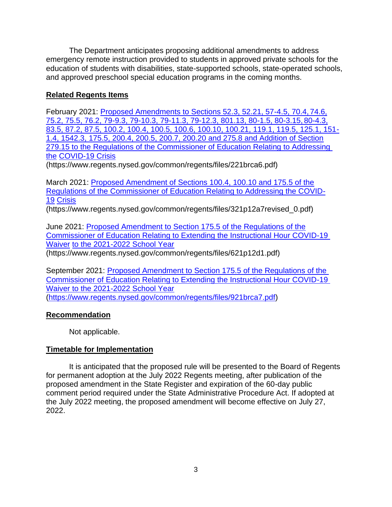The Department anticipates proposing additional amendments to address emergency remote instruction provided to students in approved private schools for the education of students with disabilities, state-supported schools, state-operated schools, and approved preschool special education programs in the coming months.

## **Related Regents Items**

February 2021: [Proposed Amendments to Sections 52.3, 52.21, 57-4.5, 70.4,](https://www.regents.nysed.gov/common/regents/files/221brca6.pdf) 74.6, [75.2, 75.5, 76.2, 79-9.3, 79-10.3, 79-11.3, 79-12.3, 801.13, 80-1.5, 80-3.15,](https://www.regents.nysed.gov/common/regents/files/221brca6.pdf) 80-4.3, [83.5, 87.2, 87.5, 100.2, 100.4, 100.5, 100.6, 100.10, 100.21, 119.1, 119.5, 125.1, 151-](https://www.regents.nysed.gov/common/regents/files/221brca6.pdf) [1.4, 1542.3, 175.5, 200.4, 200.5, 200.7, 200.20 and 275.8 and Addition of Section](https://www.regents.nysed.gov/common/regents/files/221brca6.pdf) [279.15 to the Regulations of the Commissioner of Education Relating to Addressing](https://www.regents.nysed.gov/common/regents/files/221brca6.pdf)  [the](https://www.regents.nysed.gov/common/regents/files/221brca6.pdf) [COVID-19 Crisis](https://www.regents.nysed.gov/common/regents/files/221brca6.pdf)

(https:[//www.regents.nysed.gov/common/regents/files/221brca6.pdf\)](http://www.regents.nysed.gov/common/regents/files/221brca6.pdf))

March 2021: [Proposed Amendment of Sections 100.4, 100.10 and 175.5 of the](https://www.regents.nysed.gov/common/regents/files/321p12a7revised_0.pdf) Regulations of the [Commissioner of Education Relating to Addressing the COVID-](https://www.regents.nysed.gov/common/regents/files/321p12a7revised_0.pdf)[19](https://www.regents.nysed.gov/common/regents/files/321p12a7revised_0.pdf) [Crisis](https://www.regents.nysed.gov/common/regents/files/321p12a7revised_0.pdf)

(https:[//www.regents.nysed.gov/common/regents/files/321p12a7revised\\_0.pdf\)](http://www.regents.nysed.gov/common/regents/files/321p12a7revised_0.pdf))

June 2021: [Proposed Amendment to Section 175.5 of the Regulations of the](https://www.regents.nysed.gov/common/regents/files/621p12d1.pdf) [Commissioner of Education Relating to Extending the Instructional Hour COVID-19](https://www.regents.nysed.gov/common/regents/files/621p12d1.pdf)  [Waiver](https://www.regents.nysed.gov/common/regents/files/621p12d1.pdf) [to the 2021-2022 School Year](https://www.regents.nysed.gov/common/regents/files/621p12d1.pdf)

(https:[//www.regents.nysed.gov/common/regents/files/621p12d1.pdf\)](http://www.regents.nysed.gov/common/regents/files/621p12d1.pdf))

September 2021: Proposed Amendment to Section 175.5 of the Regulations of the [Commissioner of Education Relating to Extending the Instructional Hour COVID-19](https://www.regents.nysed.gov/common/regents/files/921brca7.pdf)  [Waiver to the 2021-2022 School Year](https://www.regents.nysed.gov/common/regents/files/921brca7.pdf) [\(https://www.regents.nysed.gov/common/regents/files/921brca7.pdf\)](https://www.regents.nysed.gov/common/regents/files/921brca7.pdf)

## **Recommendation**

Not applicable.

## **Timetable for Implementation**

It is anticipated that the proposed rule will be presented to the Board of Regents for permanent adoption at the July 2022 Regents meeting, after publication of the proposed amendment in the State Register and expiration of the 60-day public comment period required under the State Administrative Procedure Act. If adopted at the July 2022 meeting, the proposed amendment will become effective on July 27, 2022.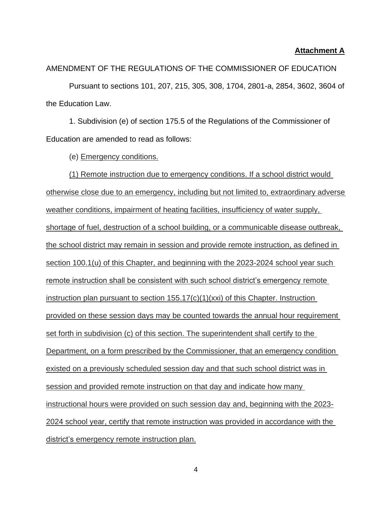#### **Attachment A**

AMENDMENT OF THE REGULATIONS OF THE COMMISSIONER OF EDUCATION

Pursuant to sections 101, 207, 215, 305, 308, 1704, 2801-a, 2854, 3602, 3604 of the Education Law.

1. Subdivision (e) of section 175.5 of the Regulations of the Commissioner of Education are amended to read as follows:

(e) Emergency conditions.

(1) Remote instruction due to emergency conditions. If a school district would otherwise close due to an emergency, including but not limited to, extraordinary adverse weather conditions, impairment of heating facilities, insufficiency of water supply, shortage of fuel, destruction of a school building, or a communicable disease outbreak, the school district may remain in session and provide remote instruction, as defined in section 100.1(u) of this Chapter, and beginning with the 2023-2024 school year such remote instruction shall be consistent with such school district's emergency remote instruction plan pursuant to section 155.17(c)(1)(xxi) of this Chapter. Instruction provided on these session days may be counted towards the annual hour requirement set forth in subdivision (c) of this section. The superintendent shall certify to the Department, on a form prescribed by the Commissioner, that an emergency condition existed on a previously scheduled session day and that such school district was in session and provided remote instruction on that day and indicate how many instructional hours were provided on such session day and, beginning with the 2023- 2024 school year, certify that remote instruction was provided in accordance with the district's emergency remote instruction plan.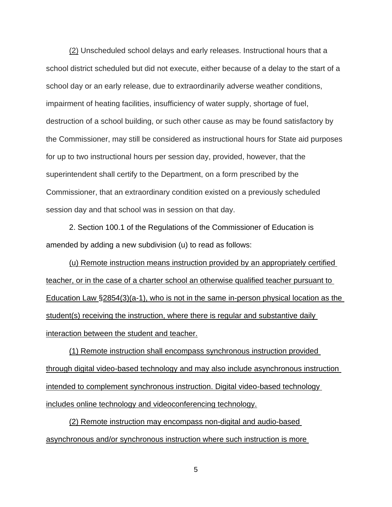(2) Unscheduled school delays and early releases. Instructional hours that a school district scheduled but did not execute, either because of a delay to the start of a school day or an early release, due to extraordinarily adverse weather conditions, impairment of heating facilities, insufficiency of water supply, shortage of fuel, destruction of a school building, or such other cause as may be found satisfactory by the Commissioner, may still be considered as instructional hours for State aid purposes for up to two instructional hours per session day, provided, however, that the superintendent shall certify to the Department, on a form prescribed by the Commissioner, that an extraordinary condition existed on a previously scheduled session day and that school was in session on that day.

2. Section 100.1 of the Regulations of the Commissioner of Education is amended by adding a new subdivision (u) to read as follows:

(u) Remote instruction means instruction provided by an appropriately certified teacher, or in the case of a charter school an otherwise qualified teacher pursuant to Education Law §2854(3)(a-1), who is not in the same in-person physical location as the student(s) receiving the instruction, where there is regular and substantive daily interaction between the student and teacher.

(1) Remote instruction shall encompass synchronous instruction provided through digital video-based technology and may also include asynchronous instruction intended to complement synchronous instruction. Digital video-based technology includes online technology and videoconferencing technology.

(2) Remote instruction may encompass non-digital and audio-based asynchronous and/or synchronous instruction where such instruction is more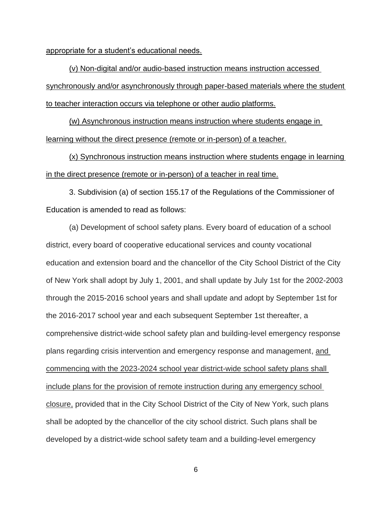appropriate for a student's educational needs.

(v) Non-digital and/or audio-based instruction means instruction accessed synchronously and/or asynchronously through paper-based materials where the student to teacher interaction occurs via telephone or other audio platforms.

(w) Asynchronous instruction means instruction where students engage in learning without the direct presence (remote or in-person) of a teacher.

(x) Synchronous instruction means instruction where students engage in learning in the direct presence (remote or in-person) of a teacher in real time.

3. Subdivision (a) of section 155.17 of the Regulations of the Commissioner of Education is amended to read as follows:

(a) Development of school safety plans. Every board of education of a school district, every board of cooperative educational services and county vocational education and extension board and the chancellor of the City School District of the City of New York shall adopt by July 1, 2001, and shall update by July 1st for the 2002-2003 through the 2015-2016 school years and shall update and adopt by September 1st for the 2016-2017 school year and each subsequent September 1st thereafter, a comprehensive district-wide school safety plan and building-level emergency response plans regarding crisis intervention and emergency response and management, and commencing with the 2023-2024 school year district-wide school safety plans shall include plans for the provision of remote instruction during any emergency school closure, provided that in the City School District of the City of New York, such plans shall be adopted by the chancellor of the city school district. Such plans shall be developed by a district-wide school safety team and a building-level emergency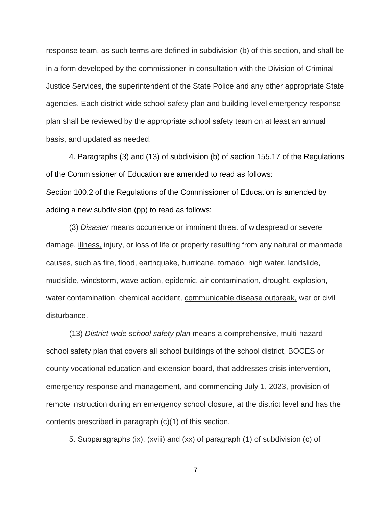response team, as such terms are defined in subdivision (b) of this section, and shall be in a form developed by the commissioner in consultation with the Division of Criminal Justice Services, the superintendent of the State Police and any other appropriate State agencies. Each district-wide school safety plan and building-level emergency response plan shall be reviewed by the appropriate school safety team on at least an annual basis, and updated as needed.

4. Paragraphs (3) and (13) of subdivision (b) of section 155.17 of the Regulations of the Commissioner of Education are amended to read as follows: Section 100.2 of the Regulations of the Commissioner of Education is amended by adding a new subdivision (pp) to read as follows:

(3) *Disaster* means occurrence or imminent threat of widespread or severe damage, illness, injury, or loss of life or property resulting from any natural or manmade causes, such as fire, flood, earthquake, hurricane, tornado, high water, landslide, mudslide, windstorm, wave action, epidemic, air contamination, drought, explosion, water contamination, chemical accident, communicable disease outbreak, war or civil disturbance.

(13) *District-wide school safety plan* means a comprehensive, multi-hazard school safety plan that covers all school buildings of the school district, BOCES or county vocational education and extension board, that addresses crisis intervention, emergency response and management, and commencing July 1, 2023, provision of remote instruction during an emergency school closure, at the district level and has the contents prescribed in paragraph (c)(1) of this section.

5. Subparagraphs (ix), (xviii) and (xx) of paragraph (1) of subdivision (c) of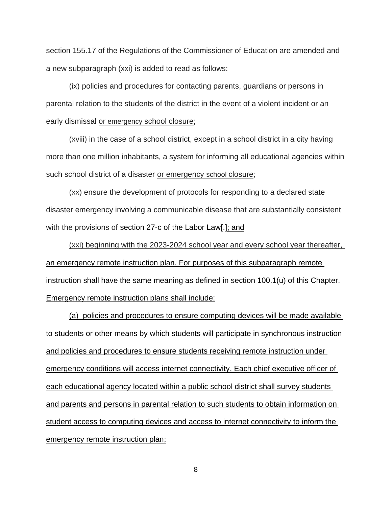section 155.17 of the Regulations of the Commissioner of Education are amended and a new subparagraph (xxi) is added to read as follows:

(ix) policies and procedures for contacting parents, guardians or persons in parental relation to the students of the district in the event of a violent incident or an early dismissal or emergency school closure;

(xviii) in the case of a school district, except in a school district in a city having more than one million inhabitants, a system for informing all educational agencies within such school district of a disaster or emergency school closure;

(xx) ensure the development of protocols for responding to a declared state disaster emergency involving a communicable disease that are substantially consistent with the provisions of section 27-c of the Labor Law[.]; and

(xxi) beginning with the 2023-2024 school year and every school year thereafter, an emergency remote instruction plan. For purposes of this subparagraph remote instruction shall have the same meaning as defined in section 100.1(u) of this Chapter. Emergency remote instruction plans shall include:

(a) policies and procedures to ensure computing devices will be made available to students or other means by which students will participate in synchronous instruction and policies and procedures to ensure students receiving remote instruction under emergency conditions will access internet connectivity. Each chief executive officer of each educational agency located within a public school district shall survey students and parents and persons in parental relation to such students to obtain information on student access to computing devices and access to internet connectivity to inform the emergency remote instruction plan;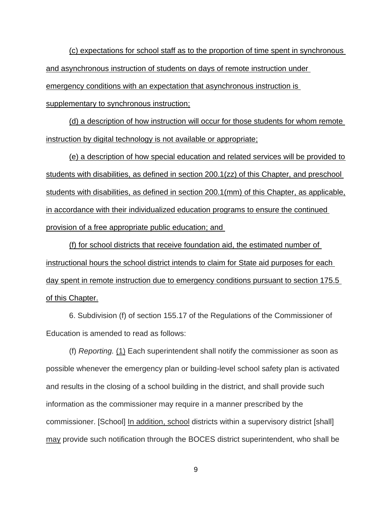(c) expectations for school staff as to the proportion of time spent in synchronous and asynchronous instruction of students on days of remote instruction under emergency conditions with an expectation that asynchronous instruction is supplementary to synchronous instruction;

(d) a description of how instruction will occur for those students for whom remote instruction by digital technology is not available or appropriate;

(e) a description of how special education and related services will be provided to students with disabilities, as defined in section 200.1(zz) of this Chapter, and preschool students with disabilities, as defined in section 200.1(mm) of this Chapter, as applicable, in accordance with their individualized education programs to ensure the continued provision of a free appropriate public education; and

(f) for school districts that receive foundation aid, the estimated number of instructional hours the school district intends to claim for State aid purposes for each day spent in remote instruction due to emergency conditions pursuant to section 175.5 of this Chapter.

6. Subdivision (f) of section 155.17 of the Regulations of the Commissioner of Education is amended to read as follows:

(f) *Reporting.* (1) Each superintendent shall notify the commissioner as soon as possible whenever the emergency plan or building-level school safety plan is activated and results in the closing of a school building in the district, and shall provide such information as the commissioner may require in a manner prescribed by the commissioner. [School] In addition, school districts within a supervisory district [shall] may provide such notification through the BOCES district superintendent, who shall be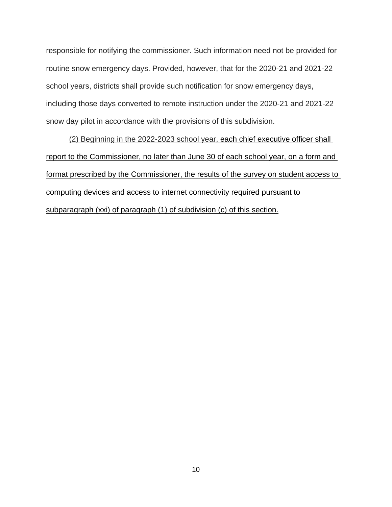responsible for notifying the commissioner. Such information need not be provided for routine snow emergency days. Provided, however, that for the 2020-21 and 2021-22 school years, districts shall provide such notification for snow emergency days, including those days converted to remote instruction under the 2020-21 and 2021-22 snow day pilot in accordance with the provisions of this subdivision.

(2) Beginning in the 2022-2023 school year, each chief executive officer shall report to the Commissioner, no later than June 30 of each school year, on a form and format prescribed by the Commissioner, the results of the survey on student access to computing devices and access to internet connectivity required pursuant to subparagraph (xxi) of paragraph (1) of subdivision (c) of this section.